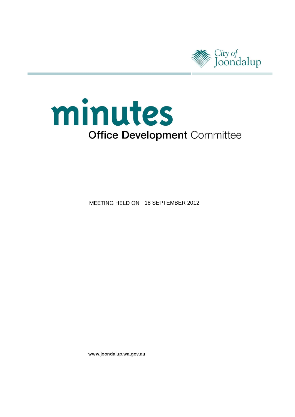

# minutes **Office Development Committee**

MEETING HELD ON 18 SEPTEMBER 2012

www.joondalup.wa.gov.au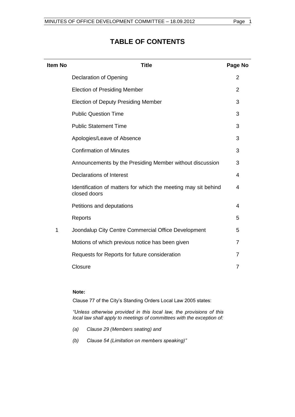## **Item No Title Page No** Declaration of Opening [2](#page-2-0) Election of Presiding Member [2](#page-2-1) Election of Deputy Presiding Member [3](#page-3-0) Public Question Time [3](#page-3-1) Public Statement Time [3](#page-3-2) Apologies/Leave of Absence [3](#page-3-3) Confirmation of Minutes [3](#page-3-4) Announcements by the Presiding Member without discussion [3](#page-3-5) Declarations of Interest [4](#page-4-0) Identification of matters for which the meeting may sit behind closed doors [4](#page-4-1) Petitions and deputations **[4](#page-4-2)** Reports [5](#page-5-0) 1 Joondalup City Centre Commercial Office Development [5](#page-5-0) Motions of which previous notice has been given [7](#page-7-0) Requests for Reports for future consideration [7](#page-7-1) Closure [7](#page-7-2) and 2012 19:00 the Closure 7 and 2012 19:00 the Closure 7 and 2012 19:00 the Closure 7 and 2013 19:00 the Closure 7 and 2013 19:00 the Closure 7 and 2013 19:00 the Closure 7 and 2013 19:00 the Closure 7 and 2013

## **TABLE OF CONTENTS**

#### **Note:**

Clause 77 of the City's Standing Orders Local Law 2005 states:

*"Unless otherwise provided in this local law, the provisions of this local law shall apply to meetings of committees with the exception of:*

- *(a) Clause 29 (Members seating) and*
- *(b) Clause 54 (Limitation on members speaking)"*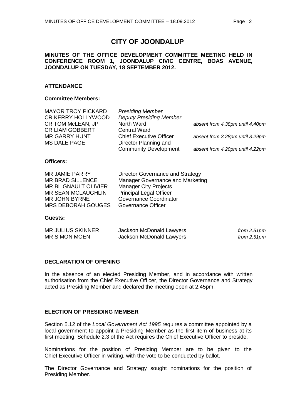## **CITY OF JOONDALUP**

#### **MINUTES OF THE OFFICE DEVELOPMENT COMMITTEE MEETING HELD IN CONFERENCE ROOM 1, JOONDALUP CIVIC CENTRE, BOAS AVENUE, JOONDALUP ON TUESDAY, 18 SEPTEMBER 2012.**

#### **ATTENDANCE**

#### **Committee Members:**

| <b>MAYOR TROY PICKARD</b> | <b>Presiding Member</b>        |                                 |
|---------------------------|--------------------------------|---------------------------------|
| CR KERRY HOLLYWOOD        | <b>Deputy Presiding Member</b> |                                 |
| CR TOM McLEAN, JP         | North Ward                     | absent from 4.38pm until 4.40pm |
| <b>CR LIAM GOBBERT</b>    | <b>Central Ward</b>            |                                 |
| <b>MR GARRY HUNT</b>      | <b>Chief Executive Officer</b> | absent from 3.28pm until 3.29pm |
| <b>MS DALE PAGE</b>       | Director Planning and          |                                 |
|                           | <b>Community Development</b>   | absent from 4.20pm until 4.22pm |

#### **Officers:**

| <b>MR JAMIE PARRY</b>       | Director Governance and Strategy |
|-----------------------------|----------------------------------|
| <b>MR BRAD SILLENCE</b>     | Manager Governance and Marketing |
| <b>MR BLIGNAULT OLIVIER</b> | <b>Manager City Projects</b>     |
| <b>MR SEAN MCLAUGHLIN</b>   | <b>Principal Legal Officer</b>   |
| <b>MR JOHN BYRNE</b>        | Governance Coordinator           |
| <b>MRS DEBORAH GOUGES</b>   | <b>Governance Officer</b>        |

#### **Guests:**

| <b>MR JULIUS SKINNER</b> | Jackson McDonald Lawyers | from $2.51pm$ |
|--------------------------|--------------------------|---------------|
| <b>MR SIMON MOEN</b>     | Jackson McDonald Lawyers | from 2.51pm   |

#### <span id="page-2-0"></span>**DECLARATION OF OPENING**

In the absence of an elected Presiding Member, and in accordance with written authorisation from the Chief Executive Officer, the Director Governance and Strategy acted as Presiding Member and declared the meeting open at 2.45pm.

#### <span id="page-2-1"></span>**ELECTION OF PRESIDING MEMBER**

Section 5.12 of the *Local Government Act 1995* requires a committee appointed by a local government to appoint a Presiding Member as the first item of business at its first meeting. Schedule 2.3 of the Act requires the Chief Executive Officer to preside.

Nominations for the position of Presiding Member are to be given to the Chief Executive Officer in writing, with the vote to be conducted by ballot.

The Director Governance and Strategy sought nominations for the position of Presiding Member.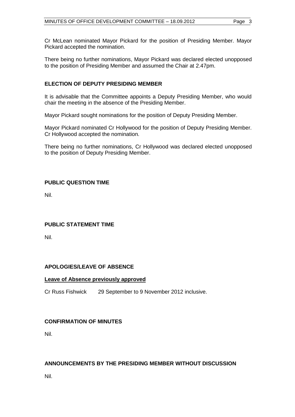There being no further nominations, Mayor Pickard was declared elected unopposed to the position of Presiding Member and assumed the Chair at 2.47pm.

#### <span id="page-3-0"></span>**ELECTION OF DEPUTY PRESIDING MEMBER**

It is advisable that the Committee appoints a Deputy Presiding Member, who would chair the meeting in the absence of the Presiding Member.

Mayor Pickard sought nominations for the position of Deputy Presiding Member.

Mayor Pickard nominated Cr Hollywood for the position of Deputy Presiding Member. Cr Hollywood accepted the nomination.

There being no further nominations, Cr Hollywood was declared elected unopposed to the position of Deputy Presiding Member.

#### <span id="page-3-1"></span>**PUBLIC QUESTION TIME**

Nil.

#### <span id="page-3-3"></span><span id="page-3-2"></span>**PUBLIC STATEMENT TIME**

Nil.

#### **APOLOGIES/LEAVE OF ABSENCE**

#### <span id="page-3-4"></span>**Leave of Absence previously approved**

Cr Russ Fishwick 29 September to 9 November 2012 inclusive.

#### **CONFIRMATION OF MINUTES**

<span id="page-3-5"></span>Nil.

#### **ANNOUNCEMENTS BY THE PRESIDING MEMBER WITHOUT DISCUSSION**

Nil.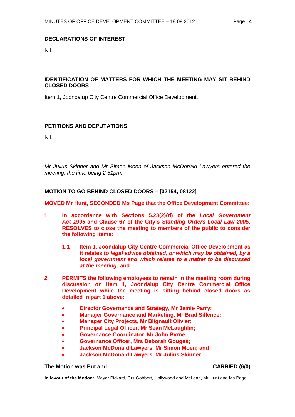#### <span id="page-4-0"></span>**DECLARATIONS OF INTEREST**

Nil.

#### <span id="page-4-1"></span>**IDENTIFICATION OF MATTERS FOR WHICH THE MEETING MAY SIT BEHIND CLOSED DOORS**

<span id="page-4-2"></span>Item 1, Joondalup City Centre Commercial Office Development.

#### **PETITIONS AND DEPUTATIONS**

Nil.

*Mr Julius Skinner and Mr Simon Moen of Jackson McDonald Lawyers entered the meeting, the time being 2.51pm.* 

#### **MOTION TO GO BEHIND CLOSED DOORS – [02154, 08122]**

**MOVED Mr Hunt, SECONDED Ms Page that the Office Development Committee:**

- **1 in accordance with Sections 5.23(2)(d) of the** *Local Government Act 1995* **and Clause 67 of the City's** *Standing Orders Local Law 2005***, RESOLVES to close the meeting to members of the public to consider the following items:** 
	- **1.1 Item 1, Joondalup City Centre Commercial Office Development as it relates to** *legal advice obtained, or which may be obtained, by a local government and which relates to a matter to be discussed at the meeting***; and**
- **2 PERMITS the following employees to remain in the meeting room during discussion on Item 1, Joondalup City Centre Commercial Office Development while the meeting is sitting behind closed doors as detailed in part 1 above:**
	- **Director Governance and Strategy, Mr Jamie Parry;**
	- **Manager Governance and Marketing, Mr Brad Sillence;**
	- **Manager City Projects, Mr Blignault Olivier;**
	- **Principal Legal Officer, Mr Sean McLaughlin;**
	- **Governance Coordinator, Mr John Byrne;**
	- **Governance Officer, Mrs Deborah Gouges;**
	- **Jackson McDonald Lawyers, Mr Simon Moen; and**
	- **Jackson McDonald Lawyers, Mr Julius Skinner.**

#### **The Motion was Put and CARRIED (6/0)**

**In favour of the Motion:** Mayor Pickard, Crs Gobbert, Hollywood and McLean, Mr Hunt and Ms Page.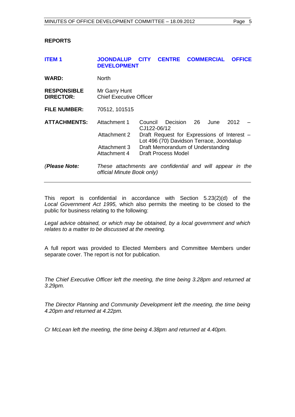#### **REPORTS**

<span id="page-5-0"></span>

| <b>ITEM1</b>                           | <b>JOONDALUP</b><br><b>DEVELOPMENT</b>                                                  | <b>CITY</b>                                                                             | <b>CENTRE</b> |    | <b>COMMERCIAL</b> | <b>OFFICE</b> |  |  |
|----------------------------------------|-----------------------------------------------------------------------------------------|-----------------------------------------------------------------------------------------|---------------|----|-------------------|---------------|--|--|
| <b>WARD:</b>                           | <b>North</b>                                                                            |                                                                                         |               |    |                   |               |  |  |
| <b>RESPONSIBLE</b><br><b>DIRECTOR:</b> | Mr Garry Hunt<br><b>Chief Executive Officer</b>                                         |                                                                                         |               |    |                   |               |  |  |
| <b>FILE NUMBER:</b>                    | 70512, 101515                                                                           |                                                                                         |               |    |                   |               |  |  |
| <b>ATTACHMENTS:</b>                    | Attachment 1                                                                            | Council<br>CJ122-06/12                                                                  | Decision      | 26 | June              | 2012          |  |  |
|                                        | Attachment 2                                                                            | Draft Request for Expressions of Interest -<br>Lot 496 (70) Davidson Terrace, Joondalup |               |    |                   |               |  |  |
|                                        | Attachment 3<br>Attachment 4                                                            | Draft Memorandum of Understanding<br>Draft Process Model                                |               |    |                   |               |  |  |
| (Please Note:                          | These attachments are confidential and will appear in the<br>official Minute Book only) |                                                                                         |               |    |                   |               |  |  |

This report is confidential in accordance with Section 5.23(2)(d) of the *Local Government Act 1995,* which also permits the meeting to be closed to the public for business relating to the following:

*Legal advice obtained, or which may be obtained, by a local government and which relates to a matter to be discussed at the meeting.*

A full report was provided to Elected Members and Committee Members under separate cover. The report is not for publication.

*The Chief Executive Officer left the meeting, the time being 3.28pm and returned at 3.29pm.* 

*The Director Planning and Community Development left the meeting, the time being 4.20pm and returned at 4.22pm.*

*Cr McLean left the meeting, the time being 4.38pm and returned at 4.40pm.*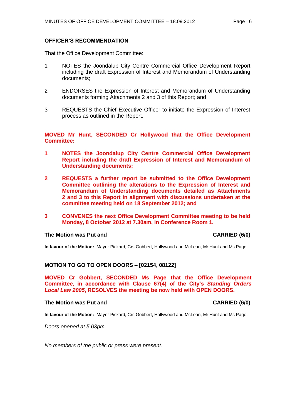#### **OFFICER'S RECOMMENDATION**

That the Office Development Committee:

- 1 NOTES the Joondalup City Centre Commercial Office Development Report including the draft Expression of Interest and Memorandum of Understanding documents;
- 2 ENDORSES the Expression of Interest and Memorandum of Understanding documents forming Attachments 2 and 3 of this Report; and
- 3 REQUESTS the Chief Executive Officer to initiate the Expression of Interest process as outlined in the Report.

**MOVED Mr Hunt, SECONDED Cr Hollywood that the Office Development Committee:**

- **1 NOTES the Joondalup City Centre Commercial Office Development Report including the draft Expression of Interest and Memorandum of Understanding documents;**
- **2 REQUESTS a further report be submitted to the Office Development Committee outlining the alterations to the Expression of Interest and Memorandum of Understanding documents detailed as Attachments 2 and 3 to this Report in alignment with discussions undertaken at the committee meeting held on 18 September 2012; and**
- **3 CONVENES the next Office Development Committee meeting to be held Monday, 8 October 2012 at 7.30am, in Conference Room 1.**

#### **The Motion was Put and CARRIED (6/0)**

**In favour of the Motion:** Mayor Pickard, Crs Gobbert, Hollywood and McLean, Mr Hunt and Ms Page.

#### **MOTION TO GO TO OPEN DOORS – [02154, 08122]**

**MOVED Cr Gobbert, SECONDED Ms Page that the Office Development Committee, in accordance with Clause 67(4) of the City's** *Standing Orders Local Law 2005***, RESOLVES the meeting be now held with OPEN DOORS.**

#### **The Motion was Put and CARRIED (6/0)**

**In favour of the Motion:** Mayor Pickard, Crs Gobbert, Hollywood and McLean, Mr Hunt and Ms Page.

*Doors opened at 5.03pm.* 

*No members of the public or press were present.*